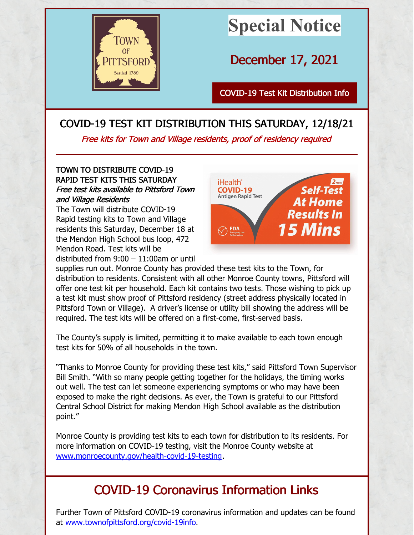

# **Special Notice**

December 17, 2021

COVID-19 Test Kit [Distribution](http://www.townofpittsford.org) Info

### COVID-19 TEST KIT DISTRIBUTION THIS SATURDAY, 12/18/21

Free kits for Town and Village residents, proof of residency required

#### TOWN TO DISTRIBUTE COVID-19 RAPID TEST KITS THIS SATURDAY Free test kits available to Pittsford Town and Village Residents

The Town will distribute COVID-19 Rapid testing kits to Town and Village residents this Saturday, December 18 at the Mendon High School bus loop, 472 Mendon Road. Test kits will be distributed from 9:00 – 11:00am or until



supplies run out. Monroe County has provided these test kits to the Town, for distribution to residents. Consistent with all other Monroe County towns, Pittsford will offer one test kit per household. Each kit contains two tests. Those wishing to pick up a test kit must show proof of Pittsford residency (street address physically located in Pittsford Town or Village). A driver's license or utility bill showing the address will be required. The test kits will be offered on a first-come, first-served basis.

The County's supply is limited, permitting it to make available to each town enough test kits for 50% of all households in the town.

"Thanks to Monroe County for providing these test kits," said Pittsford Town Supervisor Bill Smith. "With so many people getting together for the holidays, the timing works out well. The test can let someone experiencing symptoms or who may have been exposed to make the right decisions. As ever, the Town is grateful to our Pittsford Central School District for making Mendon High School available as the distribution point."

Monroe County is providing test kits to each town for distribution to its residents. For more information on COVID-19 testing, visit the Monroe County website at [www.monroecounty.gov/health-covid-19-testing](http://www.monroecounty.gov/health-covid-19-testing).

## COVID-19 Coronavirus Information Links

Further Town of Pittsford COVID-19 coronavirus information and updates can be found at [www.townofpittsford.org/covid-19info](https://www.townofpittsford.org/covid-19info).